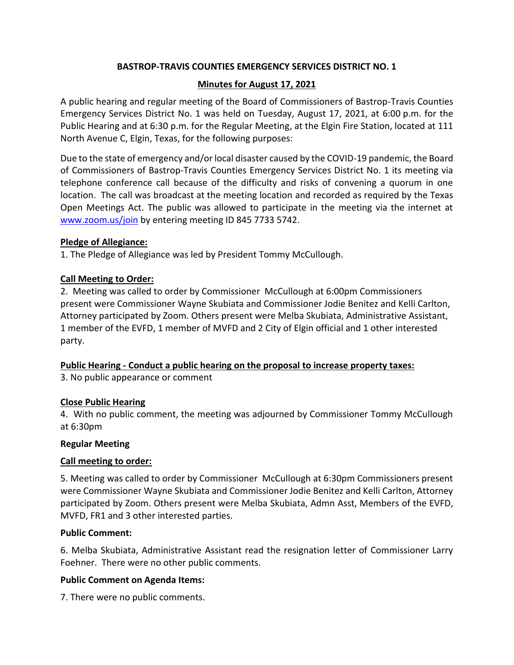# **BASTROP-TRAVIS COUNTIES EMERGENCY SERVICES DISTRICT NO. 1**

# **Minutes for August 17, 2021**

A public hearing and regular meeting of the Board of Commissioners of Bastrop-Travis Counties Emergency Services District No. 1 was held on Tuesday, August 17, 2021, at 6:00 p.m. for the Public Hearing and at 6:30 p.m. for the Regular Meeting, at the Elgin Fire Station, located at 111 North Avenue C, Elgin, Texas, for the following purposes:

Due to the state of emergency and/or local disaster caused by the COVID-19 pandemic, the Board of Commissioners of Bastrop-Travis Counties Emergency Services District No. 1 its meeting via telephone conference call because of the difficulty and risks of convening a quorum in one location. The call was broadcast at the meeting location and recorded as required by the Texas Open Meetings Act. The public was allowed to participate in the meeting via the internet at [www.zoom.us/join](http://www.zoom.us/join) by entering meeting ID 845 7733 5742.

## **Pledge of Allegiance:**

1. The Pledge of Allegiance was led by President Tommy McCullough.

# **Call Meeting to Order:**

2. Meeting was called to order by Commissioner McCullough at 6:00pm Commissioners present were Commissioner Wayne Skubiata and Commissioner Jodie Benitez and Kelli Carlton, Attorney participated by Zoom. Others present were Melba Skubiata, Administrative Assistant, 1 member of the EVFD, 1 member of MVFD and 2 City of Elgin official and 1 other interested party.

# **Public Hearing - Conduct a public hearing on the proposal to increase property taxes:**

3. No public appearance or comment

# **Close Public Hearing**

4. With no public comment, the meeting was adjourned by Commissioner Tommy McCullough at 6:30pm

#### **Regular Meeting**

# **Call meeting to order:**

5. Meeting was called to order by Commissioner McCullough at 6:30pm Commissioners present were Commissioner Wayne Skubiata and Commissioner Jodie Benitez and Kelli Carlton, Attorney participated by Zoom. Others present were Melba Skubiata, Admn Asst, Members of the EVFD, MVFD, FR1 and 3 other interested parties.

# **Public Comment:**

6. Melba Skubiata, Administrative Assistant read the resignation letter of Commissioner Larry Foehner. There were no other public comments.

# **Public Comment on Agenda Items:**

7. There were no public comments.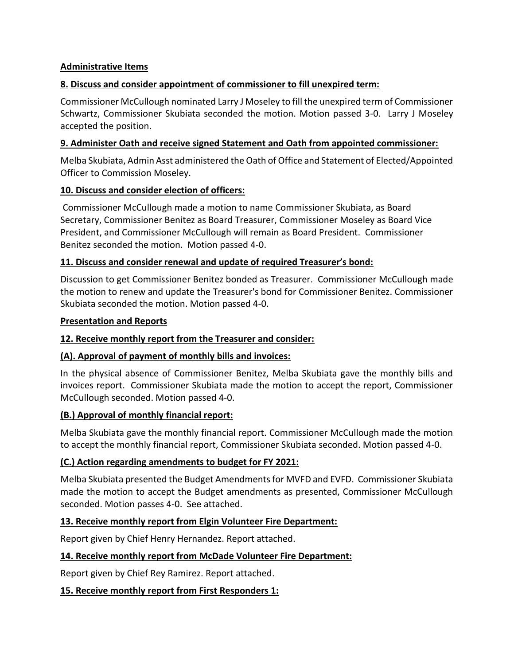## **Administrative Items**

## **8. Discuss and consider appointment of commissioner to fill unexpired term:**

Commissioner McCullough nominated Larry J Moseley to fill the unexpired term of Commissioner Schwartz, Commissioner Skubiata seconded the motion. Motion passed 3-0. Larry J Moseley accepted the position.

## **9. Administer Oath and receive signed Statement and Oath from appointed commissioner:**

Melba Skubiata, Admin Asst administered the Oath of Office and Statement of Elected/Appointed Officer to Commission Moseley.

## **10. Discuss and consider election of officers:**

Commissioner McCullough made a motion to name Commissioner Skubiata, as Board Secretary, Commissioner Benitez as Board Treasurer, Commissioner Moseley as Board Vice President, and Commissioner McCullough will remain as Board President. Commissioner Benitez seconded the motion. Motion passed 4-0.

## **11. Discuss and consider renewal and update of required Treasurer's bond:**

Discussion to get Commissioner Benitez bonded as Treasurer. Commissioner McCullough made the motion to renew and update the Treasurer's bond for Commissioner Benitez. Commissioner Skubiata seconded the motion. Motion passed 4-0.

## **Presentation and Reports**

# **12. Receive monthly report from the Treasurer and consider:**

# **(A). Approval of payment of monthly bills and invoices:**

In the physical absence of Commissioner Benitez, Melba Skubiata gave the monthly bills and invoices report. Commissioner Skubiata made the motion to accept the report, Commissioner McCullough seconded. Motion passed 4-0.

#### **(B.) Approval of monthly financial report:**

Melba Skubiata gave the monthly financial report. Commissioner McCullough made the motion to accept the monthly financial report, Commissioner Skubiata seconded. Motion passed 4-0.

#### **(C.) Action regarding amendments to budget for FY 2021:**

Melba Skubiata presented the Budget Amendments for MVFD and EVFD. Commissioner Skubiata made the motion to accept the Budget amendments as presented, Commissioner McCullough seconded. Motion passes 4-0. See attached.

#### **13. Receive monthly report from Elgin Volunteer Fire Department:**

Report given by Chief Henry Hernandez. Report attached.

#### **14. Receive monthly report from McDade Volunteer Fire Department:**

Report given by Chief Rey Ramirez. Report attached.

#### **15. Receive monthly report from First Responders 1:**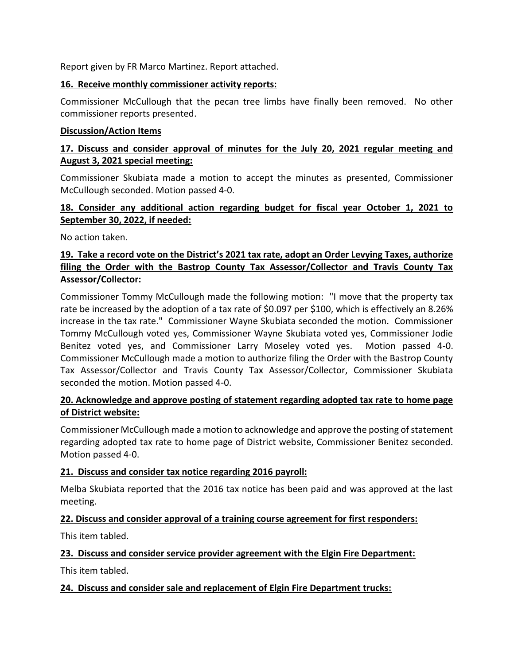Report given by FR Marco Martinez. Report attached.

## **16. Receive monthly commissioner activity reports:**

Commissioner McCullough that the pecan tree limbs have finally been removed. No other commissioner reports presented.

#### **Discussion/Action Items**

# **17. Discuss and consider approval of minutes for the July 20, 2021 regular meeting and August 3, 2021 special meeting:**

Commissioner Skubiata made a motion to accept the minutes as presented, Commissioner McCullough seconded. Motion passed 4-0.

# **18. Consider any additional action regarding budget for fiscal year October 1, 2021 to September 30, 2022, if needed:**

No action taken.

# **19. Take a record vote on the District's 2021 tax rate, adopt an Order Levying Taxes, authorize filing the Order with the Bastrop County Tax Assessor/Collector and Travis County Tax Assessor/Collector:**

Commissioner Tommy McCullough made the following motion: "I move that the property tax rate be increased by the adoption of a tax rate of \$0.097 per \$100, which is effectively an 8.26% increase in the tax rate." Commissioner Wayne Skubiata seconded the motion. Commissioner Tommy McCullough voted yes, Commissioner Wayne Skubiata voted yes, Commissioner Jodie Benitez voted yes, and Commissioner Larry Moseley voted yes. Motion passed 4-0. Commissioner McCullough made a motion to authorize filing the Order with the Bastrop County Tax Assessor/Collector and Travis County Tax Assessor/Collector, Commissioner Skubiata seconded the motion. Motion passed 4-0.

# **20. Acknowledge and approve posting of statement regarding adopted tax rate to home page of District website:**

Commissioner McCullough made a motion to acknowledge and approve the posting of statement regarding adopted tax rate to home page of District website, Commissioner Benitez seconded. Motion passed 4-0.

# **21. Discuss and consider tax notice regarding 2016 payroll:**

Melba Skubiata reported that the 2016 tax notice has been paid and was approved at the last meeting.

# **22. Discuss and consider approval of a training course agreement for first responders:**

This item tabled.

# **23. Discuss and consider service provider agreement with the Elgin Fire Department:**

This item tabled.

# **24. Discuss and consider sale and replacement of Elgin Fire Department trucks:**